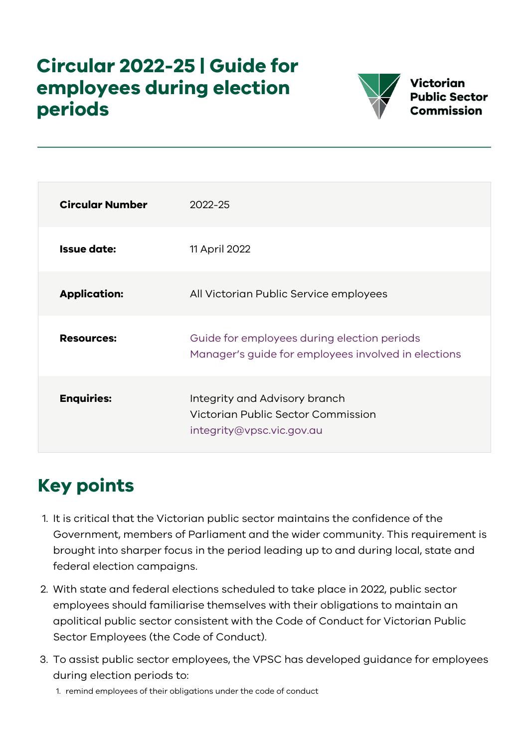## **Circular 2022-25 | Guide for employees during election periods**



Victorian **Public Sector Commission** 

| <b>Circular Number</b> | 2022-25                                                                                            |
|------------------------|----------------------------------------------------------------------------------------------------|
| <b>Issue date:</b>     | 11 April 2022                                                                                      |
| <b>Application:</b>    | All Victorian Public Service employees                                                             |
| <b>Resources:</b>      | Guide for employees during election periods<br>Manager's guide for employees involved in elections |
| <b>Enquiries:</b>      | Integrity and Advisory branch<br>Victorian Public Sector Commission<br>integrity@vpsc.vic.gov.au   |

# **Key points**

- 1. It is critical that the Victorian public sector maintains the confidence of the Government, members of Parliament and the wider community. This requirement is brought into sharper focus in the period leading up to and during local, state and federal election campaigns.
- 2. With state and federal elections scheduled to take place in 2022, public sector employees should familiarise themselves with their obligations to maintain an apolitical public sector consistent with the Code of Conduct for Victorian Public Sector Employees (the Code of Conduct).
- 3. To assist public sector employees, the VPSC has developed guidance for employees during election periods to:
	- 1. remind employees of their obligations under the code of conduct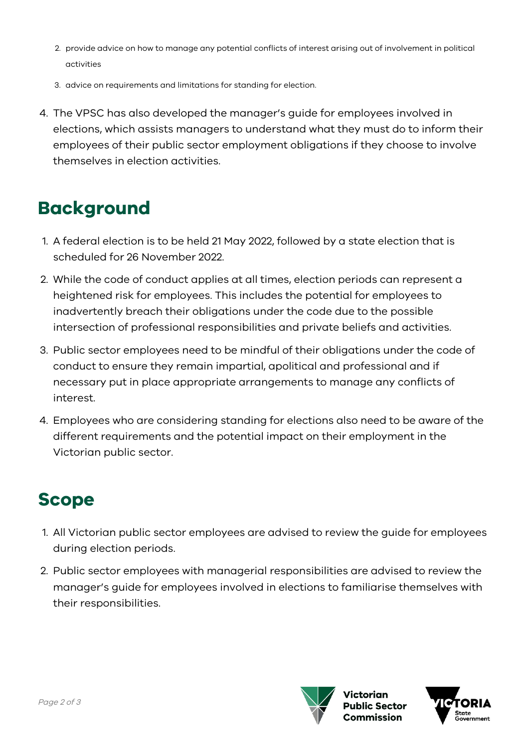- 2. provide advice on how to manage any potential conflicts of interest arising out of involvement in political activities
- 3. advice on requirements and limitations for standing for election.
- 4. The VPSC has also developed the manager's guide for employees involved in elections, which assists managers to understand what they must do to inform their employees of their public sector employment obligations if they choose to involve themselves in election activities.

#### **Background**

- 1. A federal election is to be held 21 May 2022, followed by a state election that is scheduled for 26 November 2022.
- 2. While the code of conduct applies at all times, election periods can represent a heightened risk for employees. This includes the potential for employees to inadvertently breach their obligations under the code due to the possible intersection of professional responsibilities and private beliefs and activities.
- 3. Public sector employees need to be mindful of their obligations under the code of conduct to ensure they remain impartial, apolitical and professional and if necessary put in place appropriate arrangements to manage any conflicts of interest.
- 4. Employees who are considering standing for elections also need to be aware of the different requirements and the potential impact on their employment in the Victorian public sector.

### **Scope**

- 1. All Victorian public sector employees are advised to review the guide for employees during election periods.
- 2. Public sector employees with managerial responsibilities are advised to review the manager's guide for employees involved in elections to familiarise themselves with their responsibilities.



'ictorian blic Sector nmiccion